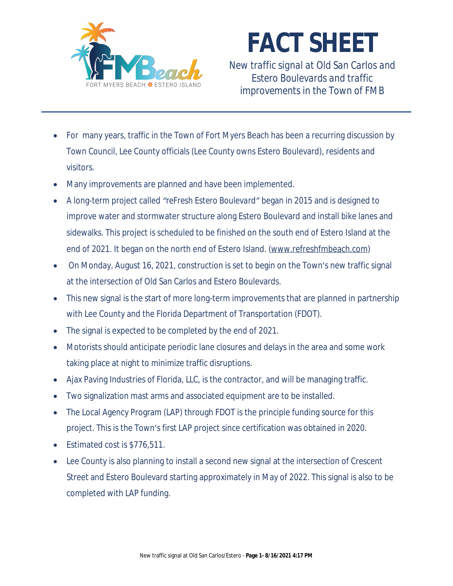

## **FACT SHEET**

*New traffic signal at Old San Carlos and Estero Boulevards and traffic improvements in the Town of FMB*

- For many years, traffic in the Town of Fort Myers Beach has been a recurring discussion by Town Council, Lee County officials (Lee County owns Estero Boulevard), residents and visitors.
- Many improvements are planned and have been implemented.
- A long-term project called *"reFresh Estero Boulevard"* began in 2015 and is designed to improve water and stormwater structure along Estero Boulevard and install bike lanes and sidewalks. This project is scheduled to be finished on the south end of Estero Island at the end of 2021. It began on the north end of Estero Island. ([www.refreshfmbeach.com](http://www.refreshfmbeach.com))
- On Monday, August 16, 2021, construction is set to begin on the Town's new traffic signal at the intersection of Old San Carlos and Estero Boulevards.
- This new signal is the start of more long-term improvements that are planned in partnership with Lee County and the Florida Department of Transportation (FDOT).
- The signal is expected to be completed by the end of 2021.
- Motorists should anticipate periodic lane closures and delays in the area and some work taking place at night to minimize traffic disruptions.
- Ajax Paving Industries of Florida, LLC, is the contractor, and will be managing traffic.
- Two signalization mast arms and associated equipment are to be installed.
- The Local Agency Program (LAP) through FDOT is the principle funding source for this project. This is the Town's first LAP project since certification was obtained in 2020.
- Estimated cost is \$776,511.
- Lee County is also planning to install a second new signal at the intersection of Crescent Street and Estero Boulevard starting approximately in May of 2022. This signal is also to be completed with LAP funding.